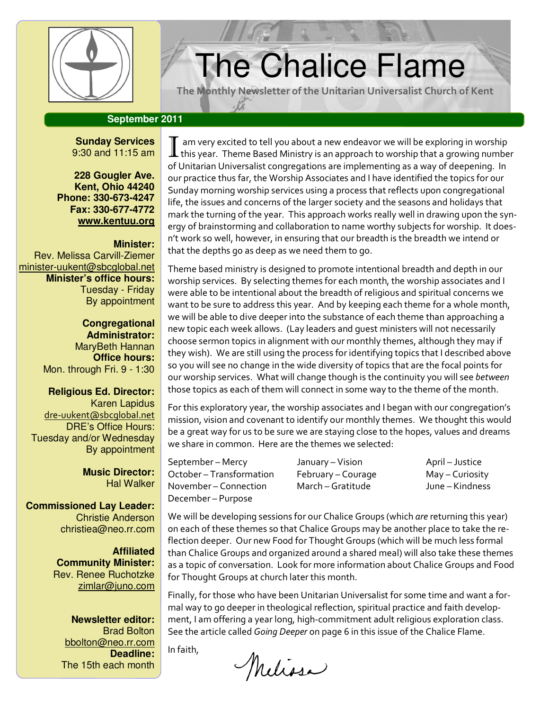

# $T$  The Chalice Flame

The Monthly Newsletter of the Unitarian Universalist Church of Kent

# **September 2011**

**Sunday Services**  9:30 and 11:15 am

**228 Gougler Ave. Kent, Ohio 44240 Phone: 330-673-4247 Fax: 330-677-4772 www.kentuu.org**

## **Minister:**

Rev. Melissa Carvill-Ziemer minister-uukent@sbcglobal.net **Minister's office hours:**  Tuesday - Friday By appointment

> **Congregational Administrator:** MaryBeth Hannan **Office hours:** Mon. through Fri. 9 - 1:30

**Religious Ed. Director:**  Karen Lapidus dre-uukent@sbcglobal.net DRE's Office Hours: Tuesday and/or Wednesday By appointment

> **Music Director:**  Hal Walker

**Commissioned Lay Leader:**  Christie Anderson christiea@neo.rr.com

> **Affiliated Community Minister:**  Rev. Renee Ruchotzke zimlar@juno.com

**Newsletter editor:**  Brad Bolton bbolton@neo.rr.com **Deadline:**  The 15th each month

 $\bf I$  am very excited to tell you about a new endeavor we will be exploring in worship<br>Ithis year. Theme Based Ministry is an approach to worship that a growing number of Unitarian Universalist congregations are implementing as a way of deepening. In our practice thus far, the Worship Associates and I have identified the topics for our Sunday morning worship services using a process that reflects upon congregational life, the issues and concerns of the larger society and the seasons and holidays that mark the turning of the year. This approach works really well in drawing upon the synergy of brainstorming and collaboration to name worthy subjects for worship. It doesn't work so well, however, in ensuring that our breadth is the breadth we intend or that the depths go as deep as we need them to go.

Theme based ministry is designed to promote intentional breadth and depth in our worship services. By selecting themes for each month, the worship associates and I were able to be intentional about the breadth of religious and spiritual concerns we want to be sure to address this year. And by keeping each theme for a whole month, we will be able to dive deeper into the substance of each theme than approaching a new topic each week allows. (Lay leaders and guest ministers will not necessarily choose sermon topics in alignment with our monthly themes, although they may if they wish). We are still using the process for identifying topics that I described above so you will see no change in the wide diversity of topics that are the focal points for our worship services. What will change though is the continuity you will see between those topics as each of them will connect in some way to the theme of the month.

For this exploratory year, the worship associates and I began with our congregation's mission, vision and covenant to identify our monthly themes. We thought this would be a great way for us to be sure we are staying close to the hopes, values and dreams we share in common. Here are the themes we selected:

September – Mercy **September – Mercy Lanuary – Vision** April – Justice October – Transformation February – Courage May – Curiosity November – Connection March – Gratitude June – Kindness December – Purpose

We will be developing sessions for our Chalice Groups (which are returning this year) on each of these themes so that Chalice Groups may be another place to take the reflection deeper. Our new Food for Thought Groups (which will be much less formal than Chalice Groups and organized around a shared meal) will also take these themes as a topic of conversation. Look for more information about Chalice Groups and Food for Thought Groups at church later this month.

Finally, for those who have been Unitarian Universalist for some time and want a formal way to go deeper in theological reflection, spiritual practice and faith development, I am offering a year long, high-commitment adult religious exploration class. See the article called Going Deeper on page 6 in this issue of the Chalice Flame.

In faith,

Melissa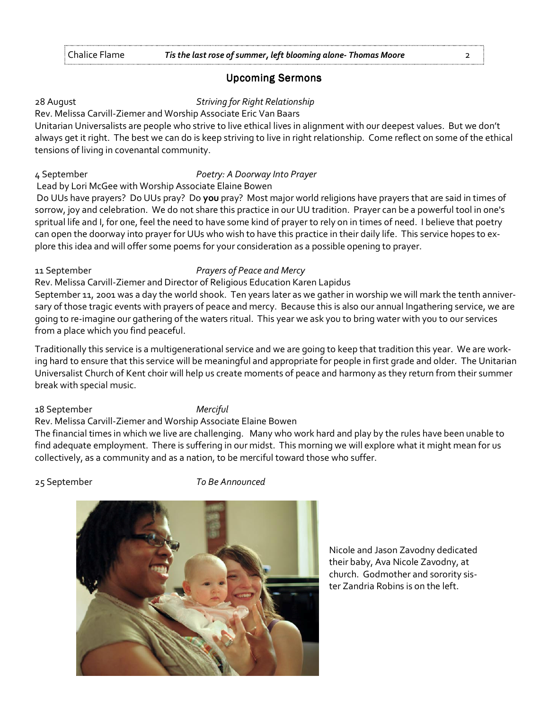# **Upcoming Sermons**

# 28 August **Striving for Right Relationship**

Rev. Melissa Carvill-Ziemer and Worship Associate Eric Van Baars

Unitarian Universalists are people who strive to live ethical lives in alignment with our deepest values. But we don't always get it right. The best we can do is keep striving to live in right relationship. Come reflect on some of the ethical tensions of living in covenantal community.

# 4 September **Poetry: A Doorway Into Prayer**

Lead by Lori McGee with Worship Associate Elaine Bowen

Do UUs have prayers? Do UUs pray? Do you pray? Most major world religions have prayers that are said in times of sorrow, joy and celebration. We do not share this practice in our UU tradition. Prayer can be a powerful tool in one's spritual life and I, for one, feel the need to have some kind of prayer to rely on in times of need. I believe that poetry can open the doorway into prayer for UUs who wish to have this practice in their daily life. This service hopes to explore this idea and will offer some poems for your consideration as a possible opening to prayer.

## 11 September **Prayers of Peace and Mercy**

Rev. Melissa Carvill-Ziemer and Director of Religious Education Karen Lapidus

September 11, 2001 was a day the world shook. Ten years later as we gather in worship we will mark the tenth anniversary of those tragic events with prayers of peace and mercy. Because this is also our annual Ingathering service, we are going to re-imagine our gathering of the waters ritual. This year we ask you to bring water with you to our services from a place which you find peaceful.

Traditionally this service is a multigenerational service and we are going to keep that tradition this year. We are working hard to ensure that this service will be meaningful and appropriate for people in first grade and older. The Unitarian Universalist Church of Kent choir will help us create moments of peace and harmony as they return from their summer break with special music.

18 September Merciful

# Rev. Melissa Carvill-Ziemer and Worship Associate Elaine Bowen

The financial times in which we live are challenging. Many who work hard and play by the rules have been unable to find adequate employment. There is suffering in our midst. This morning we will explore what it might mean for us collectively, as a community and as a nation, to be merciful toward those who suffer.

25 September To Be Announced



Nicole and Jason Zavodny dedicated their baby, Ava Nicole Zavodny, at church. Godmother and sorority sister Zandria Robins is on the left.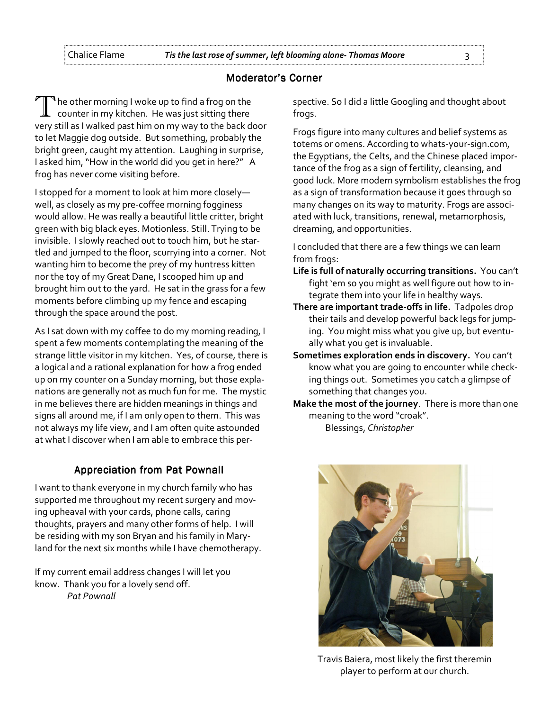# Moderator's Corner

 $\P$  he other morning I woke up to find a frog on the counter in my kitchen. He was just sitting there very still as I walked past him on my way to the back door to let Maggie dog outside. But something, probably the bright green, caught my attention. Laughing in surprise, I asked him, "How in the world did you get in here?" A frog has never come visiting before.

I stopped for a moment to look at him more closely well, as closely as my pre-coffee morning fogginess would allow. He was really a beautiful little critter, bright green with big black eyes. Motionless. Still. Trying to be invisible. I slowly reached out to touch him, but he startled and jumped to the floor, scurrying into a corner. Not wanting him to become the prey of my huntress kitten nor the toy of my Great Dane, I scooped him up and brought him out to the yard. He sat in the grass for a few moments before climbing up my fence and escaping through the space around the post.

As I sat down with my coffee to do my morning reading, I spent a few moments contemplating the meaning of the strange little visitor in my kitchen. Yes, of course, there is a logical and a rational explanation for how a frog ended up on my counter on a Sunday morning, but those explanations are generally not as much fun for me. The mystic in me believes there are hidden meanings in things and signs all around me, if I am only open to them. This was not always my life view, and I am often quite astounded at what I discover when I am able to embrace this per-

# Appreciation from Pat Pownall

I want to thank everyone in my church family who has supported me throughout my recent surgery and moving upheaval with your cards, phone calls, caring thoughts, prayers and many other forms of help. I will be residing with my son Bryan and his family in Maryland for the next six months while I have chemotherapy.

If my current email address changes I will let you know. Thank you for a lovely send off.

Pat Pownall

spective. So I did a little Googling and thought about frogs.

Frogs figure into many cultures and belief systems as totems or omens. According to whats-your-sign.com, the Egyptians, the Celts, and the Chinese placed importance of the frog as a sign of fertility, cleansing, and good luck. More modern symbolism establishes the frog as a sign of transformation because it goes through so many changes on its way to maturity. Frogs are associated with luck, transitions, renewal, metamorphosis, dreaming, and opportunities.

I concluded that there are a few things we can learn from frogs:

- Life is full of naturally occurring transitions. You can't fight 'em so you might as well figure out how to integrate them into your life in healthy ways.
- There are important trade-offs in life. Tadpoles drop their tails and develop powerful back legs for jumping. You might miss what you give up, but eventually what you get is invaluable.
- Sometimes exploration ends in discovery. You can't know what you are going to encounter while checking things out. Sometimes you catch a glimpse of something that changes you.
- Make the most of the journey. There is more than one meaning to the word "croak".





Travis Baiera, most likely the first theremin player to perform at our church.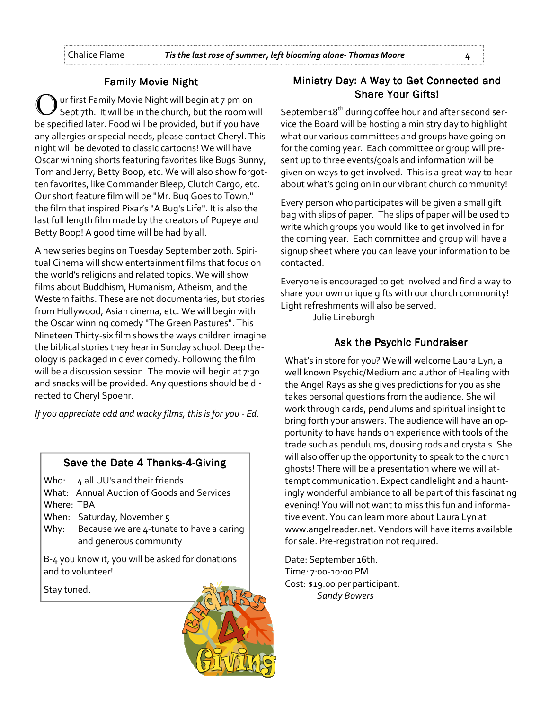# **Family Movie Night**

ur first Family Movie Night will begin at 7 pm on Sept 7th. It will be in the church, but the room will be specified later. Food will be provided, but if you have any allergies or special needs, please contact Cheryl. This night will be devoted to classic cartoons! We will have Oscar winning shorts featuring favorites like Bugs Bunny, Tom and Jerry, Betty Boop, etc. We will also show forgotten favorites, like Commander Bleep, Clutch Cargo, etc. Our short feature film will be "Mr. Bug Goes to Town," the film that inspired Pixar's "A Bug's Life". It is also the last full length film made by the creators of Popeye and Betty Boop! A good time will be had by all.

A new series begins on Tuesday September 20th. Spiritual Cinema will show entertainment films that focus on the world's religions and related topics. We will show films about Buddhism, Humanism, Atheism, and the Western faiths. These are not documentaries, but stories from Hollywood, Asian cinema, etc. We will begin with the Oscar winning comedy "The Green Pastures". This Nineteen Thirty-six film shows the ways children imagine the biblical stories they hear in Sunday school. Deep theology is packaged in clever comedy. Following the film will be a discussion session. The movie will begin at 7:30 and snacks will be provided. Any questions should be directed to Cheryl Spoehr.

If you appreciate odd and wacky films, this is for you - Ed.

# Save the Date 4 Thanks-4-Giving

Who: 4 all UU's and their friends

What: Annual Auction of Goods and Services Where: TBA

- When: Saturday, November 5
- Why: Because we are 4-tunate to have a caring and generous community

B-4 you know it, you will be asked for donations and to volunteer!

Stay tuned.



# Ministry Day: A Way to Get Connected and **Share Your Gifts!**

September 18<sup>th</sup> during coffee hour and after second service the Board will be hosting a ministry day to highlight what our various committees and groups have going on for the coming year. Each committee or group will present up to three events/goals and information will be given on ways to get involved. This is a great way to hear about what's going on in our vibrant church community!

Every person who participates will be given a small gift bag with slips of paper. The slips of paper will be used to write which groups you would like to get involved in for the coming year. Each committee and group will have a signup sheet where you can leave your information to be contacted.

Everyone is encouraged to get involved and find a way to share your own unique gifts with our church community! Light refreshments will also be served.

Julie Lineburgh

# Ask the Psychic Fundraiser

What's in store for you? We will welcome Laura Lyn, a well known Psychic/Medium and author of Healing with the Angel Rays as she gives predictions for you as she takes personal questions from the audience. She will work through cards, pendulums and spiritual insight to bring forth your answers. The audience will have an opportunity to have hands on experience with tools of the trade such as pendulums, dousing rods and crystals. She will also offer up the opportunity to speak to the church ghosts! There will be a presentation where we will attempt communication. Expect candlelight and a hauntingly wonderful ambiance to all be part of this fascinating evening! You will not want to miss this fun and informative event. You can learn more about Laura Lyn at www.angelreader.net. Vendors will have items available for sale. Pre-registration not required.

Date: September 16th. Time: 7:00-10:00 PM. Cost: \$19.00 per participant. Sandy Bowers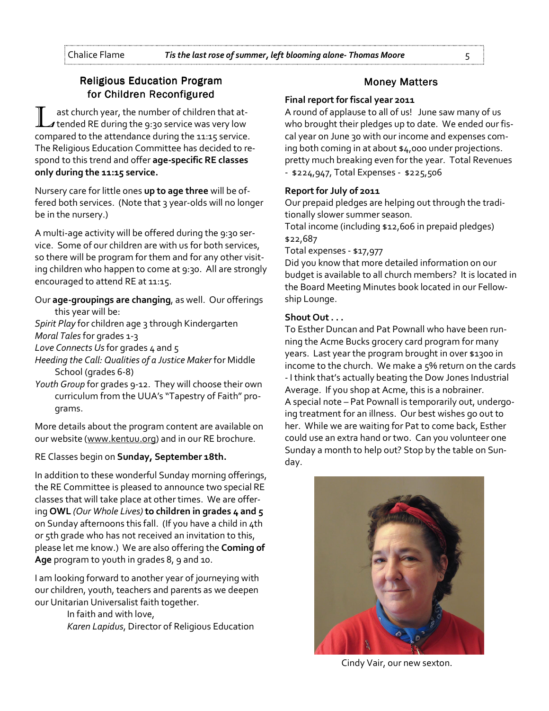# **Religious Education Program** for Children Reconfigured

ast church year, the number of children that at-I tended RE during the 9:30 service was very low compared to the attendance during the 11:15 service. The Religious Education Committee has decided to respond to this trend and offer age-specific RE classes only during the 11:15 service.

Nursery care for little ones up to age three will be offered both services. (Note that 3 year-olds will no longer be in the nursery.)

A multi-age activity will be offered during the 9:30 service. Some of our children are with us for both services, so there will be program for them and for any other visiting children who happen to come at 9:30. All are strongly encouraged to attend RE at 11:15.

Our age-groupings are changing, as well. Our offerings this year will be:

Spirit Play for children age 3 through Kindergarten Moral Tales for grades 1-3

Love Connects Us for grades  $4$  and  $5$ 

Heeding the Call: Qualities of a Justice Maker for Middle School (grades 6-8)

Youth Group for grades 9-12. They will choose their own curriculum from the UUA's "Tapestry of Faith" programs.

More details about the program content are available on our website (www.kentuu.org) and in our RE brochure.

# RE Classes begin on Sunday, September 18th.

In addition to these wonderful Sunday morning offerings, the RE Committee is pleased to announce two special RE classes that will take place at other times. We are offering OWL (Our Whole Lives) to children in grades 4 and 5 on Sunday afternoons this fall. (If you have a child in 4th or 5th grade who has not received an invitation to this, please let me know.) We are also offering the Coming of Age program to youth in grades 8, 9 and 10.

I am looking forward to another year of journeying with our children, youth, teachers and parents as we deepen our Unitarian Universalist faith together.

 In faith and with love, Karen Lapidus, Director of Religious Education

# **Money Matters**

# Final report for fiscal year 2011

A round of applause to all of us! June saw many of us who brought their pledges up to date. We ended our fiscal year on June 30 with our income and expenses coming both coming in at about \$4,000 under projections. pretty much breaking even for the year. Total Revenues - \$224,947, Total Expenses - \$225,506

# Report for July of 2011

Our prepaid pledges are helping out through the traditionally slower summer season.

Total income (including \$12,606 in prepaid pledges) \$22,687

Total expenses - \$17,977

Did you know that more detailed information on our budget is available to all church members? It is located in the Board Meeting Minutes book located in our Fellowship Lounge.

# Shout Out . . .

To Esther Duncan and Pat Pownall who have been running the Acme Bucks grocery card program for many years. Last year the program brought in over \$1300 in income to the church. We make a 5% return on the cards - I think that's actually beating the Dow Jones Industrial Average. If you shop at Acme, this is a nobrainer. A special note – Pat Pownall is temporarily out, undergoing treatment for an illness. Our best wishes go out to her. While we are waiting for Pat to come back, Esther could use an extra hand or two. Can you volunteer one Sunday a month to help out? Stop by the table on Sunday.



Cindy Vair, our new sexton.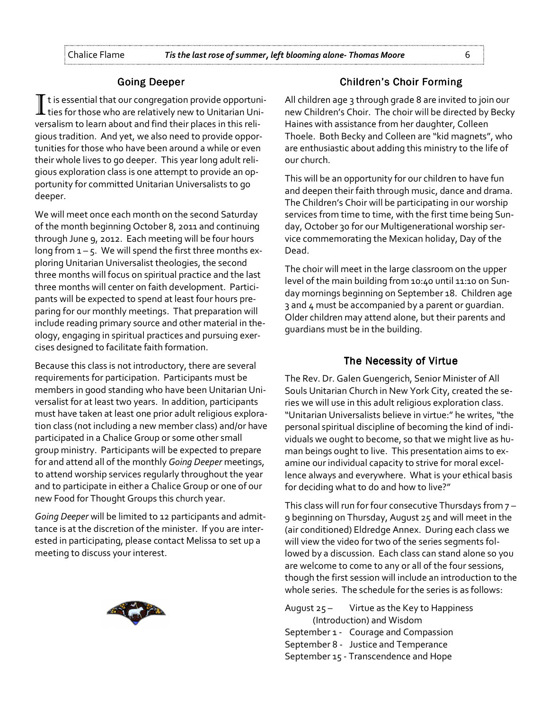## **Going Deeper**

 $\mathbf I$  t is essential that our congregation provide opportuni- $\bm{\bot}$  ties for those who are relatively new to Unitarian Universalism to learn about and find their places in this religious tradition. And yet, we also need to provide opportunities for those who have been around a while or even their whole lives to go deeper. This year long adult religious exploration class is one attempt to provide an opportunity for committed Unitarian Universalists to go deeper.

We will meet once each month on the second Saturday of the month beginning October 8, 2011 and continuing through June 9, 2012. Each meeting will be four hours long from  $1 - 5$ . We will spend the first three months exploring Unitarian Universalist theologies, the second three months will focus on spiritual practice and the last three months will center on faith development. Participants will be expected to spend at least four hours preparing for our monthly meetings. That preparation will include reading primary source and other material in theology, engaging in spiritual practices and pursuing exercises designed to facilitate faith formation.

Because this class is not introductory, there are several requirements for participation. Participants must be members in good standing who have been Unitarian Universalist for at least two years. In addition, participants must have taken at least one prior adult religious exploration class (not including a new member class) and/or have participated in a Chalice Group or some other small group ministry. Participants will be expected to prepare for and attend all of the monthly Going Deeper meetings, to attend worship services regularly throughout the year and to participate in either a Chalice Group or one of our new Food for Thought Groups this church year.

Going Deeper will be limited to 12 participants and admittance is at the discretion of the minister. If you are interested in participating, please contact Melissa to set up a meeting to discuss your interest.



# **Children's Choir Forming**

All children age 3 through grade 8 are invited to join our new Children's Choir. The choir will be directed by Becky Haines with assistance from her daughter, Colleen Thoele. Both Becky and Colleen are "kid magnets", who are enthusiastic about adding this ministry to the life of our church.

This will be an opportunity for our children to have fun and deepen their faith through music, dance and drama. The Children's Choir will be participating in our worship services from time to time, with the first time being Sunday, October 30 for our Multigenerational worship service commemorating the Mexican holiday, Day of the Dead.

The choir will meet in the large classroom on the upper level of the main building from 10:40 until 11:10 on Sunday mornings beginning on September 18. Children age 3 and 4 must be accompanied by a parent or guardian. Older children may attend alone, but their parents and guardians must be in the building.

# The Necessity of Virtue

The Rev. Dr. Galen Guengerich, Senior Minister of All Souls Unitarian Church in New York City, created the series we will use in this adult religious exploration class. "Unitarian Universalists believe in virtue:" he writes, "the personal spiritual discipline of becoming the kind of individuals we ought to become, so that we might live as human beings ought to live. This presentation aims to examine our individual capacity to strive for moral excellence always and everywhere. What is your ethical basis for deciding what to do and how to live?"

This class will run for four consecutive Thursdays from 7 – 9 beginning on Thursday, August 25 and will meet in the (air conditioned) Eldredge Annex. During each class we will view the video for two of the series segments followed by a discussion. Each class can stand alone so you are welcome to come to any or all of the four sessions, though the first session will include an introduction to the whole series. The schedule for the series is as follows:

August  $25 -$  Virtue as the Key to Happiness (Introduction) and Wisdom September 1 - Courage and Compassion September 8 - Justice and Temperance September 15 - Transcendence and Hope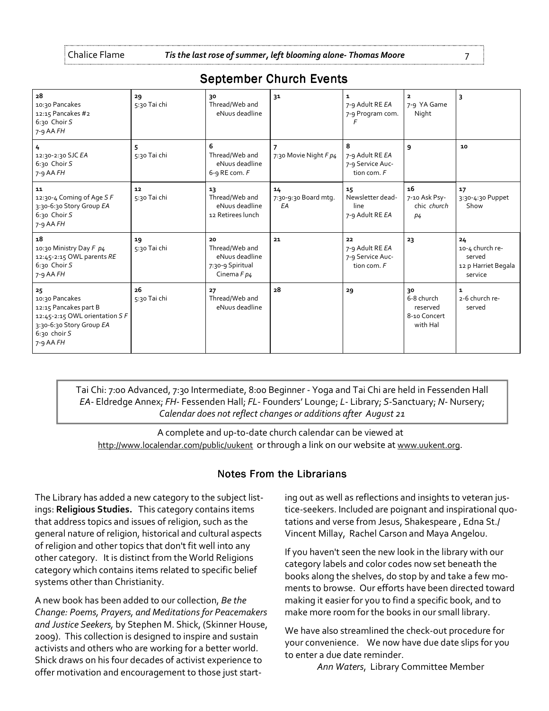| 28<br>10:30 Pancakes<br>12:15 Pancakes #2<br>6:30 Choir S<br>$7-9$ AA $FH$                                                                | 29<br>5:30 Tai chi | 30<br>Thread/Web and<br>eNuus deadline                                    | 31                               | 1<br>7-9 Adult RE EA<br>7-9 Program com.                 | 2<br>7-9 YA Game<br>Night                                | 3                                                                 |
|-------------------------------------------------------------------------------------------------------------------------------------------|--------------------|---------------------------------------------------------------------------|----------------------------------|----------------------------------------------------------|----------------------------------------------------------|-------------------------------------------------------------------|
| 4<br>12:30-2:30 SJC EA<br>6:30 Choir S<br>$7 - 9$ AA $FH$                                                                                 | 5<br>5:30 Tai chi  | 6<br>Thread/Web and<br>eNuus deadline<br>6-9 RE com. $F$                  | 7<br>7:30 Movie Night F p4       | 8<br>7-9 Adult RE EA<br>7-9 Service Auc-<br>tion com. F  | 9                                                        | 10                                                                |
| 11<br>12:30-4 Coming of Age SF<br>3:30-6:30 Story Group EA<br>6:30 Choir S<br>$7-9$ AA FH                                                 | 12<br>5:30 Tai chi | 13<br>Thread/Web and<br>eNuus deadline<br>12 Retirees lunch               | 14<br>7:30-9:30 Board mtg.<br>EA | 15<br>Newsletter dead-<br>line<br>7-9 Adult RE EA        | 16<br>7-10 Ask Psy-<br>chic church<br>p <sub>4</sub>     | 17<br>3:30-4:30 Puppet<br>Show                                    |
| 18<br>10:30 Ministry Day F p4<br>12:45-2:15 OWL parents RE<br>6:30 Choir S<br>$7-9$ AA $FH$                                               | 19<br>5:30 Tai chi | 20<br>Thread/Web and<br>eNuus deadline<br>7:30-9 Spiritual<br>Cinema F p4 | 21                               | 22<br>7-9 Adult RE EA<br>7-9 Service Auc-<br>tion com. F | 23                                                       | 24<br>10-4 church re-<br>served<br>12 p Harriet Begala<br>service |
| 25<br>10:30 Pancakes<br>12:15 Pancakes part B<br>12:45-2:15 OWL orientation SF<br>3:30-6:30 Story Group EA<br>$6:30$ choir S<br>7-9 AA FH | 26<br>5:30 Tai chi | 27<br>Thread/Web and<br>eNuus deadline                                    | 28                               | 29                                                       | 30<br>6-8 church<br>reserved<br>8-10 Concert<br>with Hal | $\mathbf{1}$<br>2-6 church re-<br>served                          |

# September Church Events

Tai Chi: 7:00 Advanced, 7:30 Intermediate, 8:00 Beginner - Yoga and Tai Chi are held in Fessenden Hall EA- Eldredge Annex; FH- Fessenden Hall; FL- Founders' Lounge; L- Library; S-Sanctuary; N- Nursery; Calendar does not reflect changes or additions after August 21

A complete and up-to-date church calendar can be viewed at http://www.localendar.com/public/uukent or through a link on our website at www.uukent.org.

# Notes From the Librarians

The Library has added a new category to the subject listings: Religious Studies. This category contains items that address topics and issues of religion, such as the general nature of religion, historical and cultural aspects of religion and other topics that don't fit well into any other category. It is distinct from the World Religions category which contains items related to specific belief systems other than Christianity.

A new book has been added to our collection, Be the Change: Poems, Prayers, and Meditations for Peacemakers and Justice Seekers, by Stephen M. Shick, (Skinner House, 2009). This collection is designed to inspire and sustain activists and others who are working for a better world. Shick draws on his four decades of activist experience to offer motivation and encouragement to those just starting out as well as reflections and insights to veteran justice-seekers. Included are poignant and inspirational quotations and verse from Jesus, Shakespeare , Edna St./ Vincent Millay, Rachel Carson and Maya Angelou.

If you haven't seen the new look in the library with our category labels and color codes now set beneath the books along the shelves, do stop by and take a few moments to browse. Our efforts have been directed toward making it easier for you to find a specific book, and to make more room for the books in our small library.

We have also streamlined the check-out procedure for your convenience. We now have due date slips for you to enter a due date reminder.

Ann Waters, Library Committee Member